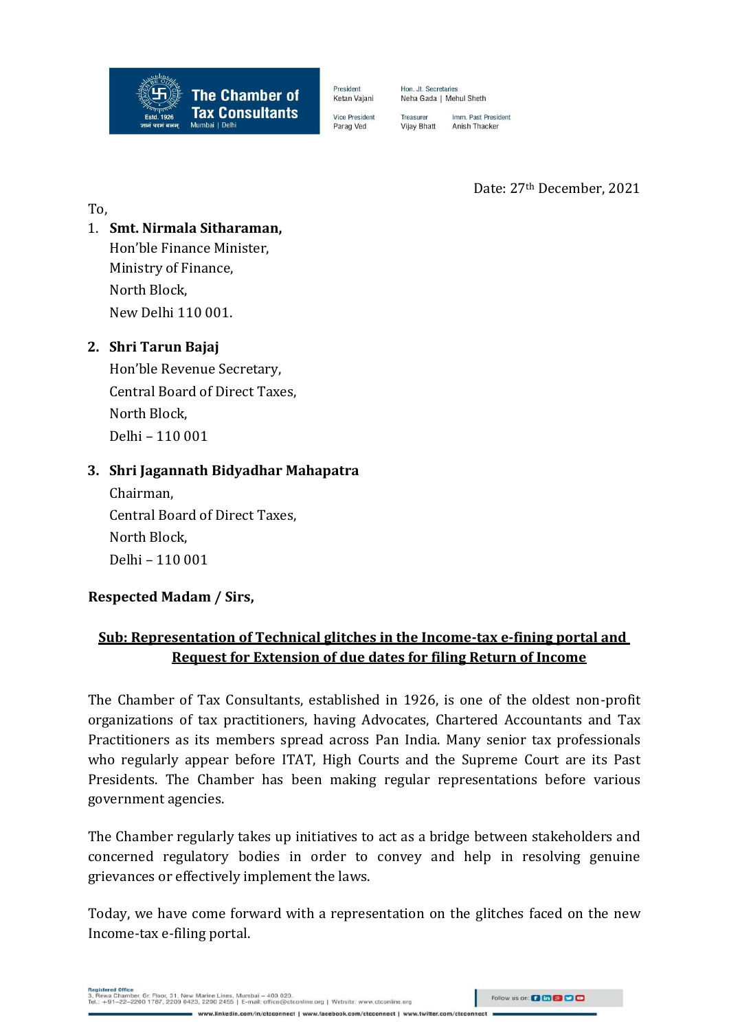

President Ketan Vaiani

**Vice President** Parag Ved

Hon. Jt. Secretaries Neha Gada | Mehul Sheth

Treasurer Imm. Past President Vijay Bhatt Anish Thacker

Date: 27th December, 2021

To,

# 1. **Smt. Nirmala Sitharaman,**  Hon'ble Finance Minister,

Ministry of Finance, North Block, New Delhi 110 001.

## **2. Shri Tarun Bajaj**

Hon'ble Revenue Secretary, Central Board of Direct Taxes, North Block, Delhi – 110 001

## **3. Shri Jagannath Bidyadhar Mahapatra**

Chairman, Central Board of Direct Taxes, North Block, Delhi – 110 001

## **Respected Madam / Sirs,**

## **Sub: Representation of Technical glitches in the Income-tax e-fining portal and Request for Extension of due dates for filing Return of Income**

The Chamber of Tax Consultants, established in 1926, is one of the oldest non-profit organizations of tax practitioners, having Advocates, Chartered Accountants and Tax Practitioners as its members spread across Pan India. Many senior tax professionals who regularly appear before ITAT, High Courts and the Supreme Court are its Past Presidents. The Chamber has been making regular representations before various government agencies.

The Chamber regularly takes up initiatives to act as a bridge between stakeholders and concerned regulatory bodies in order to convey and help in resolving genuine grievances or effectively implement the laws.

Today, we have come forward with a representation on the glitches faced on the new Income-tax e-filing portal.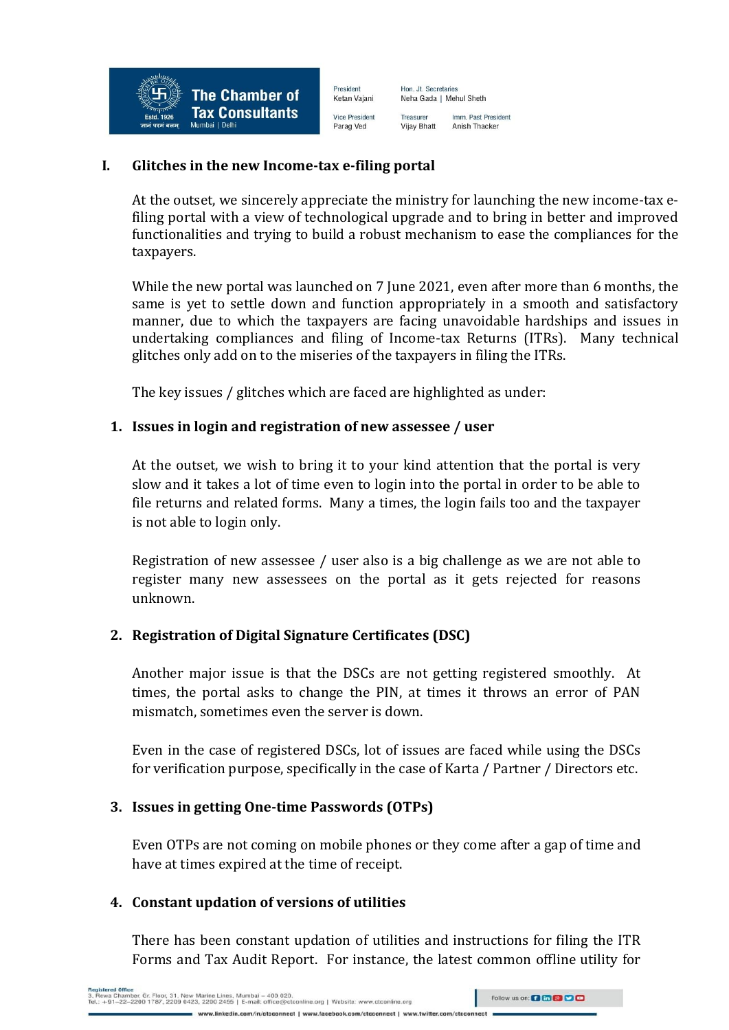

Ketan Vajani **Vice President** Parag Ved

Neha Gada | Mehul Sheth Treasurer Imm. Past President Vijay Bhatt Anish Thacker

Hon. Jt. Secretaries

#### **I. Glitches in the new Income-tax e-filing portal**

At the outset, we sincerely appreciate the ministry for launching the new income-tax efiling portal with a view of technological upgrade and to bring in better and improved functionalities and trying to build a robust mechanism to ease the compliances for the taxpayers.

While the new portal was launched on 7 June 2021, even after more than 6 months, the same is yet to settle down and function appropriately in a smooth and satisfactory manner, due to which the taxpayers are facing unavoidable hardships and issues in undertaking compliances and filing of Income-tax Returns (ITRs). Many technical glitches only add on to the miseries of the taxpayers in filing the ITRs.

The key issues / glitches which are faced are highlighted as under:

#### **1. Issues in login and registration of new assessee / user**

At the outset, we wish to bring it to your kind attention that the portal is very slow and it takes a lot of time even to login into the portal in order to be able to file returns and related forms. Many a times, the login fails too and the taxpayer is not able to login only.

Registration of new assessee / user also is a big challenge as we are not able to register many new assessees on the portal as it gets rejected for reasons unknown.

#### **2. Registration of Digital Signature Certificates (DSC)**

Another major issue is that the DSCs are not getting registered smoothly. At times, the portal asks to change the PIN, at times it throws an error of PAN mismatch, sometimes even the server is down.

Even in the case of registered DSCs, lot of issues are faced while using the DSCs for verification purpose, specifically in the case of Karta / Partner / Directors etc.

#### **3. Issues in getting One-time Passwords (OTPs)**

Even OTPs are not coming on mobile phones or they come after a gap of time and have at times expired at the time of receipt.

#### **4. Constant updation of versions of utilities**

There has been constant updation of utilities and instructions for filing the ITR Forms and Tax Audit Report. For instance, the latest common offline utility for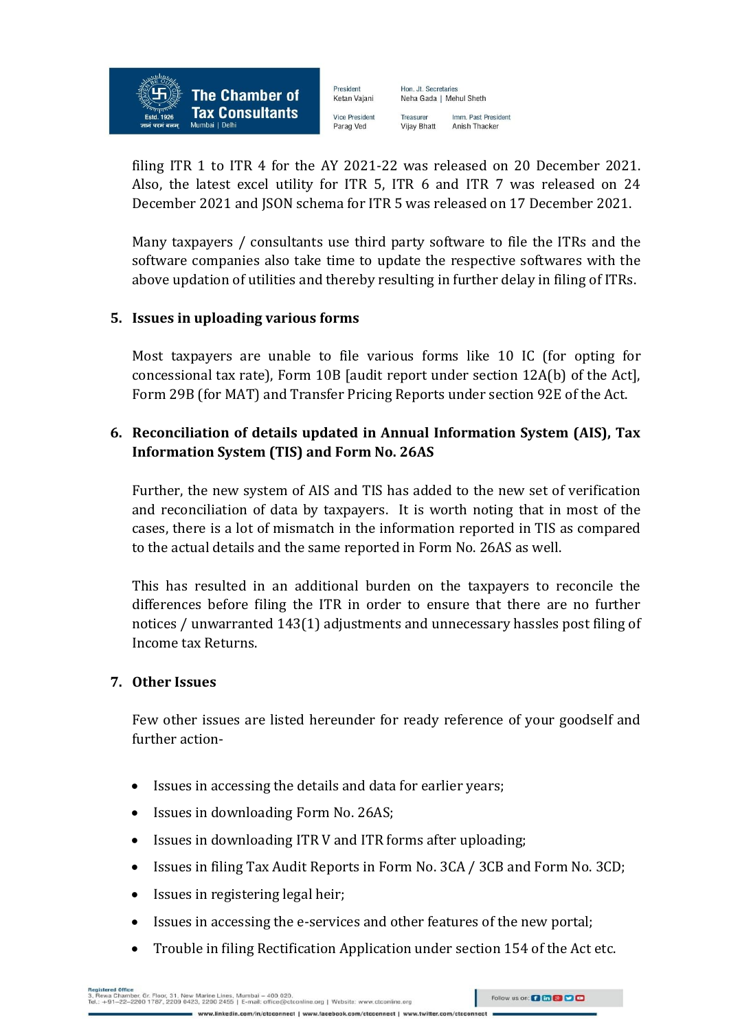

Neha Gada | Mehul Sheth **Vice President** Treasurer Vijay Bhatt

Hon. Jt. Secretaries

Imm. Past President

Anish Thacker

filing ITR 1 to ITR 4 for the AY 2021-22 was released on 20 December 2021. Also, the latest excel utility for ITR 5, ITR 6 and ITR 7 was released on 24 December 2021 and JSON schema for ITR 5 was released on 17 December 2021.

Many taxpayers / consultants use third party software to file the ITRs and the software companies also take time to update the respective softwares with the above updation of utilities and thereby resulting in further delay in filing of ITRs.

### **5. Issues in uploading various forms**

Most taxpayers are unable to file various forms like 10 IC (for opting for concessional tax rate), Form 10B [audit report under section 12A(b) of the Act], Form 29B (for MAT) and Transfer Pricing Reports under section 92E of the Act.

### **6. Reconciliation of details updated in Annual Information System (AIS), Tax Information System (TIS) and Form No. 26AS**

Further, the new system of AIS and TIS has added to the new set of verification and reconciliation of data by taxpayers. It is worth noting that in most of the cases, there is a lot of mismatch in the information reported in TIS as compared to the actual details and the same reported in Form No. 26AS as well.

This has resulted in an additional burden on the taxpayers to reconcile the differences before filing the ITR in order to ensure that there are no further notices / unwarranted 143(1) adjustments and unnecessary hassles post filing of Income tax Returns.

#### **7. Other Issues**

Few other issues are listed hereunder for ready reference of your goodself and further action-

- Issues in accessing the details and data for earlier years;
- Issues in downloading Form No. 26AS;
- Issues in downloading ITR V and ITR forms after uploading;
- Issues in filing Tax Audit Reports in Form No. 3CA / 3CB and Form No. 3CD;
- Issues in registering legal heir;
- Issues in accessing the e-services and other features of the new portal;
- Trouble in filing Rectification Application under section 154 of the Act etc.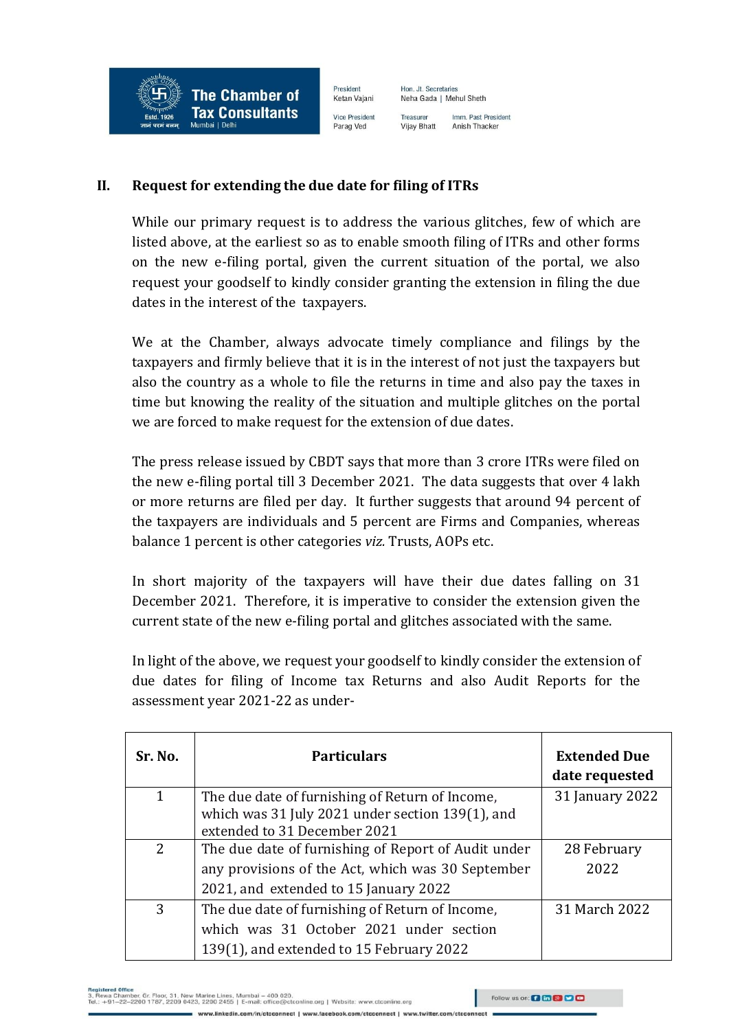

President Ketan Vaiani **Vice President** Parag Ved

Neha Gada | Mehul Sheth Treasurer Imm. Past President Vijay Bhatt Anish Thacker

Hon. Jt. Secretaries

#### **II. Request for extending the due date for filing of ITRs**

While our primary request is to address the various glitches, few of which are listed above, at the earliest so as to enable smooth filing of ITRs and other forms on the new e-filing portal, given the current situation of the portal, we also request your goodself to kindly consider granting the extension in filing the due dates in the interest of the taxpayers.

We at the Chamber, always advocate timely compliance and filings by the taxpayers and firmly believe that it is in the interest of not just the taxpayers but also the country as a whole to file the returns in time and also pay the taxes in time but knowing the reality of the situation and multiple glitches on the portal we are forced to make request for the extension of due dates.

The press release issued by CBDT says that more than 3 crore ITRs were filed on the new e-filing portal till 3 December 2021. The data suggests that over 4 lakh or more returns are filed per day. It further suggests that around 94 percent of the taxpayers are individuals and 5 percent are Firms and Companies, whereas balance 1 percent is other categories *viz.* Trusts, AOPs etc.

In short majority of the taxpayers will have their due dates falling on 31 December 2021. Therefore, it is imperative to consider the extension given the current state of the new e-filing portal and glitches associated with the same.

In light of the above, we request your goodself to kindly consider the extension of due dates for filing of Income tax Returns and also Audit Reports for the assessment year 2021-22 as under-

| Sr. No. | <b>Particulars</b>                                  | <b>Extended Due</b><br>date requested |
|---------|-----------------------------------------------------|---------------------------------------|
| 1       | The due date of furnishing of Return of Income,     | 31 January 2022                       |
|         | which was 31 July 2021 under section 139(1), and    |                                       |
|         | extended to 31 December 2021                        |                                       |
| 2       | The due date of furnishing of Report of Audit under | 28 February                           |
|         | any provisions of the Act, which was 30 September   | 2022                                  |
|         | 2021, and extended to 15 January 2022               |                                       |
| 3       | The due date of furnishing of Return of Income,     | 31 March 2022                         |
|         | which was 31 October 2021 under section             |                                       |
|         | 139(1), and extended to 15 February 2022            |                                       |

негев опсе<br>:wa Chamber, Gr. Floor, 31, New Marine Lines, Mumbai – 400 020.<br>+91–22–2200 1787, 2209 0423, 2200 2455 | E-mail: office@ctr org | Website

www.linkedin.com/in/ctcconnect | www.facebook.com/ctcc